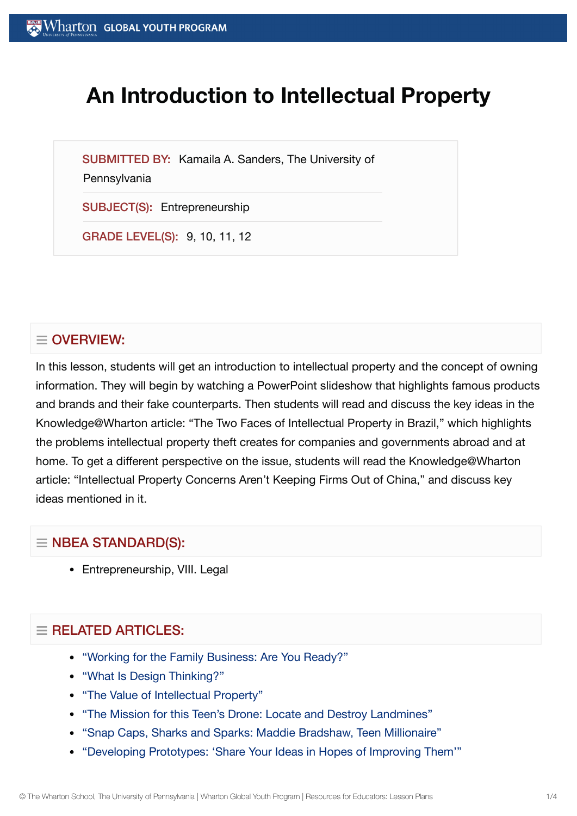# **An Introduction to Intellectual Property**

SUBMITTED BY: Kamaila A. Sanders, The University of

#### **Pennsylvania**

SUBJECT(S): Entrepreneurship

GRADE LEVEL(S): 9, 10, 11, 12

## $\equiv$  OVERVIEW:

In this lesson, students will get an introduction to intellectual property and the concept of owning information. They will begin by watching a PowerPoint slideshow that highlights famous products and brands and their fake counterparts. Then students will read and discuss the key ideas in the Knowledge@Wharton article: "The Two Faces of Intellectual Property in Brazil," which highlights the problems intellectual property theft creates for companies and governments abroad and at home. To get a different perspective on the issue, students will read the Knowledge@Wharton article: "Intellectual Property Concerns Aren't Keeping Firms Out of China," and discuss key ideas mentioned in it.

## $\equiv$  NBEA STANDARD(S):

• Entrepreneurship, VIII. Legal

## $=$  RELATED ARTICLES:

- "Working for the [Family Business:](https://globalyouth.wharton.upenn.edu/articles/working-for-the-family-business/) Are You Ready?"
- "What Is Design [Thinking?"](https://globalyouth.wharton.upenn.edu/articles/what-is-design-thinking/)
- "The Value of [Intellectual](https://globalyouth.wharton.upenn.edu/articles/the-value-of-intellectual-property/) Property"
- "The Mission for this Teen's Drone: Locate and [Destroy Landmines"](https://globalyouth.wharton.upenn.edu/articles/drone-detects-detonates-landmines-saves-lives/)
- "Snap Caps, [Sharks and](https://globalyouth.wharton.upenn.edu/articles/snap-caps-sharks-and-sparks-maddie-bradshaw-teen-millionaire/) Sparks: Maddie Bradshaw, Teen Millionaire"
- ["Developing](https://globalyouth.wharton.upenn.edu/articles/developing-prototypes-share-ideas-hopes-improving/) Prototypes: 'Share Your Ideas in Hopes of Improving Them'"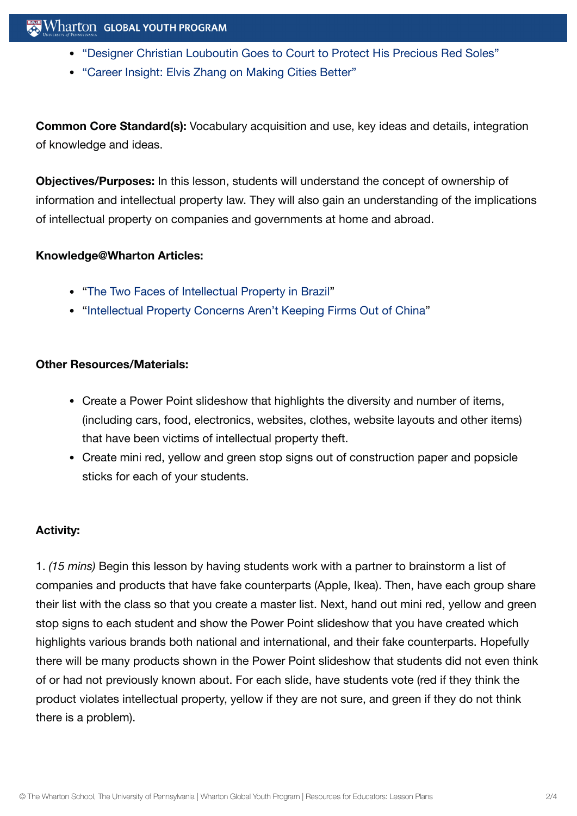- "Designer Christian Louboutin Goes to Court to Protect [His Precious Red](https://globalyouth.wharton.upenn.edu/articles/designer-christian-louboutin-goes-court-protect-precious-red-soles/) Soles"
- "Career Insight: Elvis Zhang on Making [Cities Better"](https://globalyouth.wharton.upenn.edu/articles/career-insight-elvis-zhang-making-cities-better/)

**Common Core Standard(s):** Vocabulary acquisition and use, key ideas and details, integration of knowledge and ideas.

**Objectives/Purposes:** In this lesson, students will understand the concept of ownership of information and intellectual property law. They will also gain an understanding of the implications of intellectual property on companies and governments at home and abroad.

#### **Knowledge@Wharton Articles:**

- "The Two Faces of Intellectual [Property in](http://knowledge.wharton.upenn.edu/article.cfm?articleid=1339) Brazil"
- "Intellectual [Property Concerns Aren't](http://knowledge.wharton.upenn.edu/article.cfm?articleid=804) Keeping Firms Out of China"

#### **Other Resources/Materials:**

- Create a Power Point slideshow that highlights the diversity and number of items, (including cars, food, electronics, websites, clothes, website layouts and other items) that have been victims of intellectual property theft.
- Create mini red, yellow and green stop signs out of construction paper and popsicle sticks for each of your students.

#### **Activity:**

1. *(15 mins)* Begin this lesson by having students work with a partner to brainstorm a list of companies and products that have fake counterparts (Apple, Ikea). Then, have each group share their list with the class so that you create a master list. Next, hand out mini red, yellow and green stop signs to each student and show the Power Point slideshow that you have created which highlights various brands both national and international, and their fake counterparts. Hopefully there will be many products shown in the Power Point slideshow that students did not even think of or had not previously known about. For each slide, have students vote (red if they think the product violates intellectual property, yellow if they are not sure, and green if they do not think there is a problem).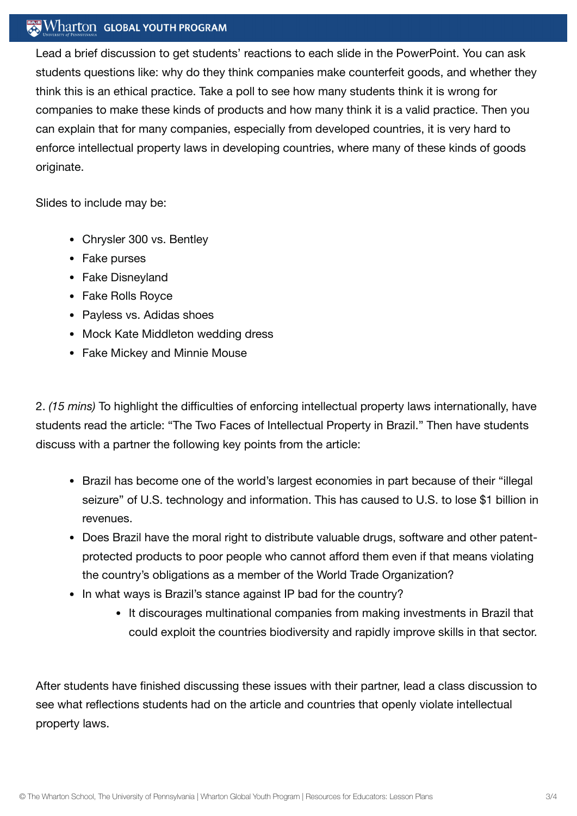## $\mathbb{R}$  Wharton Global youth program

Lead a brief discussion to get students' reactions to each slide in the PowerPoint. You can ask students questions like: why do they think companies make counterfeit goods, and whether they think this is an ethical practice. Take a poll to see how many students think it is wrong for companies to make these kinds of products and how many think it is a valid practice. Then you can explain that for many companies, especially from developed countries, it is very hard to enforce intellectual property laws in developing countries, where many of these kinds of goods originate.

Slides to include may be:

- Chrysler 300 vs. Bentley
- Fake purses
- Fake Disneyland
- Fake Rolls Royce
- Payless vs. Adidas shoes
- Mock Kate Middleton wedding dress
- Fake Mickey and Minnie Mouse

2. *(15 mins)* To highlight the difficulties of enforcing intellectual property laws internationally, have students read the article: "The Two Faces of Intellectual Property in Brazil." Then have students discuss with a partner the following key points from the article:

- Brazil has become one of the world's largest economies in part because of their "illegal seizure" of U.S. technology and information. This has caused to U.S. to lose \$1 billion in revenues.
- Does Brazil have the moral right to distribute valuable drugs, software and other patentprotected products to poor people who cannot afford them even if that means violating the country's obligations as a member of the World Trade Organization?
- In what ways is Brazil's stance against IP bad for the country?
	- It discourages multinational companies from making investments in Brazil that could exploit the countries biodiversity and rapidly improve skills in that sector.

After students have finished discussing these issues with their partner, lead a class discussion to see what reflections students had on the article and countries that openly violate intellectual property laws.